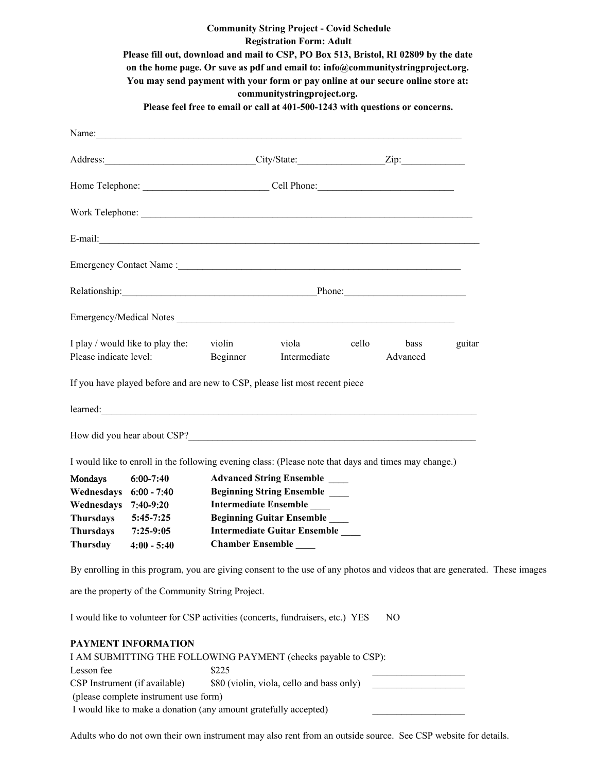|                          |                                                                                                |                                                                  | <b>Community String Project - Covid Schedule</b><br><b>Registration Form: Adult</b><br>Please fill out, download and mail to CSP, PO Box 513, Bristol, RI 02809 by the date<br>on the home page. Or save as pdf and email to: info@communitystringproject.org.<br>You may send payment with your form or pay online at our secure online store at:<br>communitystringproject.org. |       |                  |        |  |
|--------------------------|------------------------------------------------------------------------------------------------|------------------------------------------------------------------|-----------------------------------------------------------------------------------------------------------------------------------------------------------------------------------------------------------------------------------------------------------------------------------------------------------------------------------------------------------------------------------|-------|------------------|--------|--|
|                          |                                                                                                |                                                                  | Please feel free to email or call at 401-500-1243 with questions or concerns.                                                                                                                                                                                                                                                                                                     |       |                  |        |  |
|                          |                                                                                                |                                                                  | Name: <u>Contact Communication</u> Contact Communication Communication Communication Communication Communication Communication Communication Communication Communication Communication Communication Communication Communication Co                                                                                                                                               |       |                  |        |  |
|                          |                                                                                                |                                                                  |                                                                                                                                                                                                                                                                                                                                                                                   |       |                  |        |  |
|                          |                                                                                                |                                                                  |                                                                                                                                                                                                                                                                                                                                                                                   |       |                  |        |  |
|                          |                                                                                                |                                                                  |                                                                                                                                                                                                                                                                                                                                                                                   |       |                  |        |  |
|                          |                                                                                                |                                                                  | $E-mail:$                                                                                                                                                                                                                                                                                                                                                                         |       |                  |        |  |
|                          |                                                                                                |                                                                  |                                                                                                                                                                                                                                                                                                                                                                                   |       |                  |        |  |
|                          |                                                                                                |                                                                  |                                                                                                                                                                                                                                                                                                                                                                                   |       |                  |        |  |
|                          |                                                                                                |                                                                  | Emergency/Medical Notes                                                                                                                                                                                                                                                                                                                                                           |       |                  |        |  |
| Please indicate level:   | I play / would like to play the:                                                               | violin<br>Beginner                                               | viola<br>Intermediate                                                                                                                                                                                                                                                                                                                                                             | cello | bass<br>Advanced | guitar |  |
|                          |                                                                                                |                                                                  | If you have played before and are new to CSP, please list most recent piece                                                                                                                                                                                                                                                                                                       |       |                  |        |  |
|                          |                                                                                                |                                                                  |                                                                                                                                                                                                                                                                                                                                                                                   |       |                  |        |  |
|                          |                                                                                                |                                                                  | How did you hear about CSP?                                                                                                                                                                                                                                                                                                                                                       |       |                  |        |  |
|                          |                                                                                                |                                                                  | I would like to enroll in the following evening class: (Please note that days and times may change.)                                                                                                                                                                                                                                                                              |       |                  |        |  |
| <b>Mondays</b>           | <b>Advanced String Ensemble</b><br>$6:00-7:40$                                                 |                                                                  |                                                                                                                                                                                                                                                                                                                                                                                   |       |                  |        |  |
| Wednesdays<br>Wednesdays | <b>Beginning String Ensemble</b><br>$6:00 - 7:40$<br><b>Intermediate Ensemble</b><br>7:40-9:20 |                                                                  |                                                                                                                                                                                                                                                                                                                                                                                   |       |                  |        |  |
| <b>Thursdays</b>         | <b>Beginning Guitar Ensemble</b><br>$5:45-7:25$                                                |                                                                  |                                                                                                                                                                                                                                                                                                                                                                                   |       |                  |        |  |
| <b>Thursdays</b>         | $7:25-9:05$                                                                                    |                                                                  |                                                                                                                                                                                                                                                                                                                                                                                   |       |                  |        |  |
| Thursday                 | Intermediate Guitar Ensemble<br><b>Chamber Ensemble</b> ______<br>$4:00 - 5:40$                |                                                                  |                                                                                                                                                                                                                                                                                                                                                                                   |       |                  |        |  |
|                          |                                                                                                |                                                                  | By enrolling in this program, you are giving consent to the use of any photos and videos that are generated. These images                                                                                                                                                                                                                                                         |       |                  |        |  |
|                          |                                                                                                | are the property of the Community String Project.                |                                                                                                                                                                                                                                                                                                                                                                                   |       |                  |        |  |
|                          |                                                                                                |                                                                  | I would like to volunteer for CSP activities (concerts, fundraisers, etc.) YES                                                                                                                                                                                                                                                                                                    |       | N <sub>O</sub>   |        |  |
|                          | PAYMENT INFORMATION                                                                            |                                                                  |                                                                                                                                                                                                                                                                                                                                                                                   |       |                  |        |  |
|                          |                                                                                                |                                                                  | I AM SUBMITTING THE FOLLOWING PAYMENT (checks payable to CSP):                                                                                                                                                                                                                                                                                                                    |       |                  |        |  |
| Lesson fee               |                                                                                                | \$225                                                            |                                                                                                                                                                                                                                                                                                                                                                                   |       |                  |        |  |
|                          | CSP Instrument (if available)<br>(please complete instrument use form)                         |                                                                  | \$80 (violin, viola, cello and bass only)                                                                                                                                                                                                                                                                                                                                         |       |                  |        |  |
|                          |                                                                                                | I would like to make a donation (any amount gratefully accepted) |                                                                                                                                                                                                                                                                                                                                                                                   |       |                  |        |  |

Adults who do not own their own instrument may also rent from an outside source. See CSP website for details.